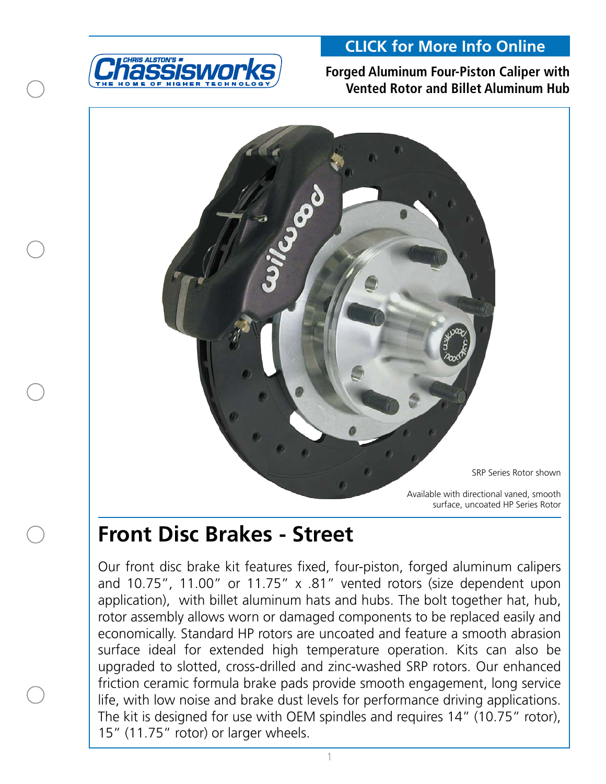

### **[CLICK for More Info Online](https://www.cachassisworks.com/cac_wilwood_library.html)**

### **Forged Aluminum Four-Piston Caliper with Vented Rotor and Billet Aluminum Hub**



# **Front Disc Brakes - Street**

Our front disc brake kit features fixed, four-piston, forged aluminum calipers and 10.75", 11.00" or 11.75" x .81" vented rotors (size dependent upon application), with billet aluminum hats and hubs. The bolt together hat, hub, rotor assembly allows worn or damaged components to be replaced easily and economically. Standard HP rotors are uncoated and feature a smooth abrasion surface ideal for extended high temperature operation. Kits can also be upgraded to slotted, cross-drilled and zinc-washed SRP rotors. Our enhanced friction ceramic formula brake pads provide smooth engagement, long service life, with low noise and brake dust levels for performance driving applications. The kit is designed for use with OEM spindles and requires 14" (10.75" rotor), 15" (11.75" rotor) or larger wheels.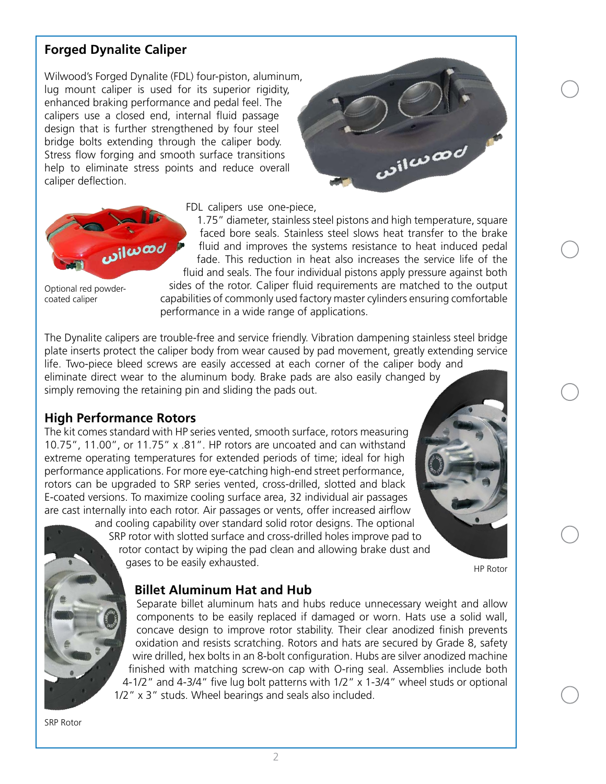### **Forged Dynalite Caliper**

Wilwood's Forged Dynalite (FDL) four-piston, aluminum, lug mount caliper is used for its superior rigidity, enhanced braking performance and pedal feel. The calipers use a closed end, internal fluid passage design that is further strengthened by four steel bridge bolts extending through the caliper body. Stress flow forging and smooth surface transitions help to eliminate stress points and reduce overall caliper deflection.



FDL calipers use one-piece,

1.75" diameter, stainless steel pistons and high temperature, square faced bore seals. Stainless steel slows heat transfer to the brake fluid and improves the systems resistance to heat induced pedal fade. This reduction in heat also increases the service life of the fluid and seals. The four individual pistons apply pressure against both

Optional red powdercoated caliper

sides of the rotor. Caliper fluid requirements are matched to the output capabilities of commonly used factory master cylinders ensuring comfortable performance in a wide range of applications.

The Dynalite calipers are trouble-free and service friendly. Vibration dampening stainless steel bridge plate inserts protect the caliper body from wear caused by pad movement, greatly extending service life. Two-piece bleed screws are easily accessed at each corner of the caliper body and eliminate direct wear to the aluminum body. Brake pads are also easily changed by simply removing the retaining pin and sliding the pads out.

### **High Performance Rotors**

*ل*صسان<mark>ں</mark>،

The kit comes standard with HP series vented, smooth surface, rotors measuring 10.75", 11.00", or 11.75" x .81". HP rotors are uncoated and can withstand extreme operating temperatures for extended periods of time; ideal for high performance applications. For more eye-catching high-end street performance, rotors can be upgraded to SRP series vented, cross-drilled, slotted and black E-coated versions. To maximize cooling surface area, 32 individual air passages are cast internally into each rotor. Air passages or vents, offer increased airflow

and cooling capability over standard solid rotor designs. The optional SRP rotor with slotted surface and cross-drilled holes improve pad to rotor contact by wiping the pad clean and allowing brake dust and gases to be easily exhausted.

HP Rotor

### **Billet Aluminum Hat and Hub**

Separate billet aluminum hats and hubs reduce unnecessary weight and allow components to be easily replaced if damaged or worn. Hats use a solid wall, concave design to improve rotor stability. Their clear anodized finish prevents oxidation and resists scratching. Rotors and hats are secured by Grade 8, safety wire drilled, hex bolts in an 8-bolt configuration. Hubs are silver anodized machine finished with matching screw-on cap with O-ring seal. Assemblies include both 4-1/2" and 4-3/4" five lug bolt patterns with 1/2" x 1-3/4" wheel studs or optional 1/2" x 3" studs. Wheel bearings and seals also included.

SRP Rotor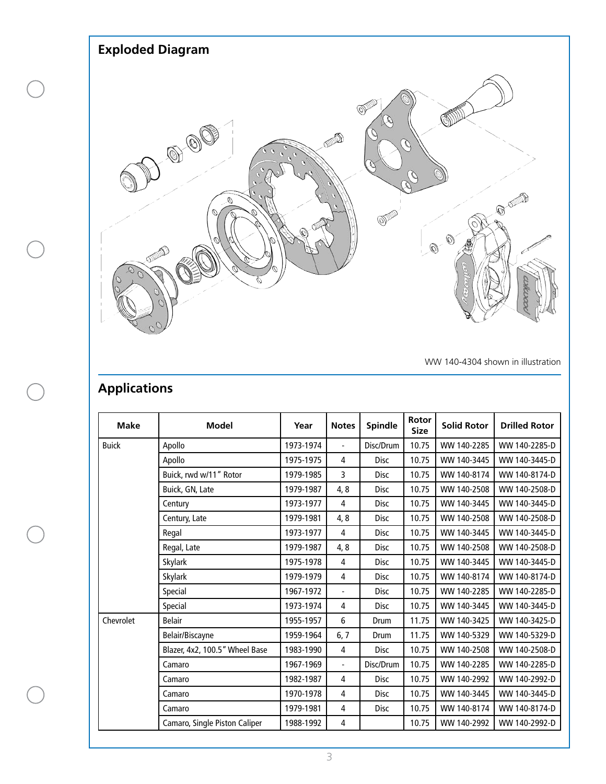

WW 140-4304 shown in illustration

### **Applications**

| <b>Make</b>  | <b>Model</b>                   | Year      | <b>Notes</b>             | <b>Spindle</b> | <b>Rotor</b><br><b>Size</b> | <b>Solid Rotor</b> | <b>Drilled Rotor</b> |
|--------------|--------------------------------|-----------|--------------------------|----------------|-----------------------------|--------------------|----------------------|
| <b>Buick</b> | Apollo                         | 1973-1974 | $\blacksquare$           | Disc/Drum      | 10.75                       | WW 140-2285        | WW 140-2285-D        |
|              | Apollo                         | 1975-1975 | 4                        | <b>Disc</b>    | 10.75                       | WW 140-3445        | WW 140-3445-D        |
|              | Buick, rwd w/11" Rotor         | 1979-1985 | 3                        | <b>Disc</b>    | 10.75                       | WW 140-8174        | WW 140-8174-D        |
|              | Buick, GN, Late                | 1979-1987 | 4, 8                     | Disc           | 10.75                       | WW 140-2508        | WW 140-2508-D        |
|              | Century                        | 1973-1977 | 4                        | <b>Disc</b>    | 10.75                       | WW 140-3445        | WW 140-3445-D        |
|              | Century, Late                  | 1979-1981 | 4, 8                     | Disc           | 10.75                       | WW 140-2508        | WW 140-2508-D        |
|              | Regal                          | 1973-1977 | 4                        | <b>Disc</b>    | 10.75                       | WW 140-3445        | WW 140-3445-D        |
|              | Regal, Late                    | 1979-1987 | 4, 8                     | Disc           | 10.75                       | WW 140-2508        | WW 140-2508-D        |
|              | Skylark                        | 1975-1978 | 4                        | Disc           | 10.75                       | WW 140-3445        | WW 140-3445-D        |
|              | Skylark                        | 1979-1979 | 4                        | <b>Disc</b>    | 10.75                       | WW 140-8174        | WW 140-8174-D        |
|              | Special                        | 1967-1972 | $\overline{\phantom{0}}$ | Disc           | 10.75                       | WW 140-2285        | WW 140-2285-D        |
|              | Special                        | 1973-1974 | 4                        | Disc           | 10.75                       | WW 140-3445        | WW 140-3445-D        |
| Chevrolet    | <b>Belair</b>                  | 1955-1957 | 6                        | Drum           | 11.75                       | WW 140-3425        | WW 140-3425-D        |
|              | Belair/Biscayne                | 1959-1964 | 6, 7                     | Drum           | 11.75                       | WW 140-5329        | WW 140-5329-D        |
|              | Blazer, 4x2, 100.5" Wheel Base | 1983-1990 | 4                        | <b>Disc</b>    | 10.75                       | WW 140-2508        | WW 140-2508-D        |
|              | Camaro                         | 1967-1969 | $\overline{\phantom{a}}$ | Disc/Drum      | 10.75                       | WW 140-2285        | WW 140-2285-D        |
|              | Camaro                         | 1982-1987 | 4                        | <b>Disc</b>    | 10.75                       | WW 140-2992        | WW 140-2992-D        |
|              | Camaro                         | 1970-1978 | 4                        | <b>Disc</b>    | 10.75                       | WW 140-3445        | WW 140-3445-D        |
|              | Camaro                         | 1979-1981 | 4                        | <b>Disc</b>    | 10.75                       | WW 140-8174        | WW 140-8174-D        |
|              | Camaro, Single Piston Caliper  | 1988-1992 | $\overline{4}$           |                | 10.75                       | WW 140-2992        | WW 140-2992-D        |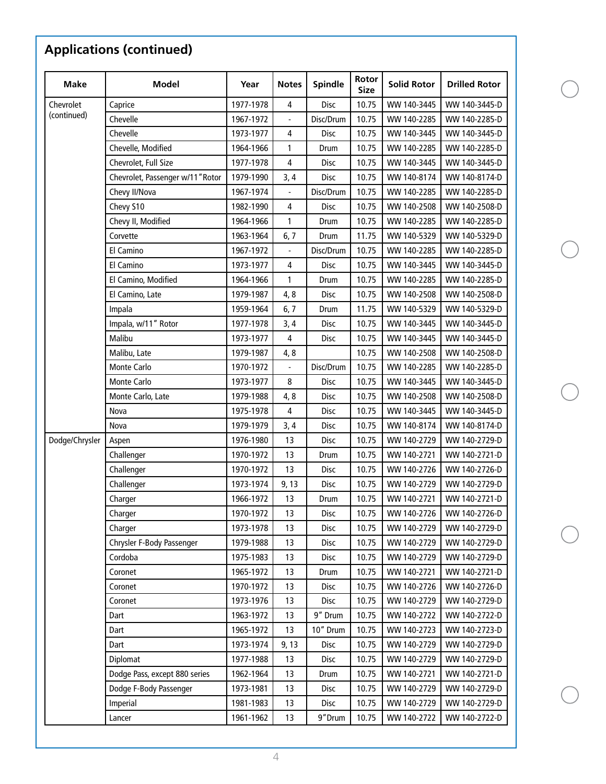| <b>Make</b>              | <b>Model</b>                     | Year      | <b>Notes</b>   | <b>Spindle</b> | Rotor<br><b>Size</b> | <b>Solid Rotor</b> | <b>Drilled Rotor</b> |
|--------------------------|----------------------------------|-----------|----------------|----------------|----------------------|--------------------|----------------------|
| Chevrolet<br>(continued) | Caprice                          | 1977-1978 | 4              | Disc           | 10.75                | WW 140-3445        | WW 140-3445-D        |
|                          | Chevelle                         | 1967-1972 |                | Disc/Drum      | 10.75                | WW 140-2285        | WW 140-2285-D        |
|                          | Chevelle                         | 1973-1977 | 4              | Disc           | 10.75                | WW 140-3445        | WW 140-3445-D        |
|                          | Chevelle, Modified               | 1964-1966 | $\mathbf{1}$   | Drum           | 10.75                | WW 140-2285        | WW 140-2285-D        |
|                          | Chevrolet, Full Size             | 1977-1978 | 4              | Disc           | 10.75                | WW 140-3445        | WW 140-3445-D        |
|                          | Chevrolet, Passenger w/11" Rotor | 1979-1990 | 3, 4           | Disc           | 10.75                | WW 140-8174        | WW 140-8174-D        |
|                          | Chevy II/Nova                    | 1967-1974 | $\frac{1}{2}$  | Disc/Drum      | 10.75                | WW 140-2285        | WW 140-2285-D        |
|                          | Chevy S10                        | 1982-1990 | 4              | Disc           | 10.75                | WW 140-2508        | WW 140-2508-D        |
|                          | Chevy II, Modified               | 1964-1966 | 1              | Drum           | 10.75                | WW 140-2285        | WW 140-2285-D        |
|                          | Corvette                         | 1963-1964 | 6, 7           | Drum           | 11.75                | WW 140-5329        | WW 140-5329-D        |
|                          | El Camino                        | 1967-1972 |                | Disc/Drum      | 10.75                | WW 140-2285        | WW 140-2285-D        |
|                          | El Camino                        | 1973-1977 | 4              | Disc           | 10.75                | WW 140-3445        | WW 140-3445-D        |
|                          | El Camino, Modified              | 1964-1966 | 1              | Drum           | 10.75                | WW 140-2285        | WW 140-2285-D        |
|                          | El Camino, Late                  | 1979-1987 | 4, 8           | Disc           | 10.75                | WW 140-2508        | WW 140-2508-D        |
|                          | Impala                           | 1959-1964 | 6, 7           | Drum           | 11.75                | WW 140-5329        | WW 140-5329-D        |
|                          | Impala, w/11" Rotor              | 1977-1978 | 3, 4           | Disc           | 10.75                | WW 140-3445        | WW 140-3445-D        |
|                          | Malibu                           | 1973-1977 | 4              | Disc           | 10.75                | WW 140-3445        | WW 140-3445-D        |
|                          | Malibu, Late                     | 1979-1987 | 4,8            |                | 10.75                | WW 140-2508        | WW 140-2508-D        |
|                          | Monte Carlo                      | 1970-1972 | $\overline{a}$ | Disc/Drum      | 10.75                | WW 140-2285        | WW 140-2285-D        |
|                          | Monte Carlo                      | 1973-1977 | 8              | Disc           | 10.75                | WW 140-3445        | WW 140-3445-D        |
|                          | Monte Carlo, Late                | 1979-1988 | 4, 8           | Disc           | 10.75                | WW 140-2508        | WW 140-2508-D        |
|                          | Nova                             | 1975-1978 | 4              | Disc           | 10.75                | WW 140-3445        | WW 140-3445-D        |
|                          | Nova                             | 1979-1979 | 3, 4           | Disc           | 10.75                | WW 140-8174        | WW 140-8174-D        |
| Dodge/Chrysler           | Aspen                            | 1976-1980 | 13             | <b>Disc</b>    | 10.75                | WW 140-2729        | WW 140-2729-D        |
|                          | Challenger                       | 1970-1972 | 13             | Drum           | 10.75                | WW 140-2721        | WW 140-2721-D        |
|                          | Challenger                       | 1970-1972 | 13             | Disc           | 10.75                | WW 140-2726        | WW 140-2726-D        |
|                          | Challenger                       | 1973-1974 | 9, 13          | Disc           | 10.75                | WW 140-2729        | WW 140-2729-D        |
|                          | Charger                          | 1966-1972 | 13             | Drum           | 10.75                | WW 140-2721        | WW 140-2721-D        |
|                          | Charger                          | 1970-1972 | 13             | Disc           | 10.75                | WW 140-2726        | WW 140-2726-D        |
|                          | Charger                          | 1973-1978 | 13             | Disc           | 10.75                | WW 140-2729        | WW 140-2729-D        |
|                          | Chrysler F-Body Passenger        | 1979-1988 | 13             | Disc           | 10.75                | WW 140-2729        | WW 140-2729-D        |
|                          | Cordoba                          | 1975-1983 | 13             | Disc           | 10.75                | WW 140-2729        | WW 140-2729-D        |
|                          | Coronet                          | 1965-1972 | 13             | Drum           | 10.75                | WW 140-2721        | WW 140-2721-D        |
|                          | Coronet                          | 1970-1972 | 13             | Disc           | 10.75                | WW 140-2726        | WW 140-2726-D        |
|                          | Coronet                          | 1973-1976 | 13             | Disc           | 10.75                | WW 140-2729        | WW 140-2729-D        |
|                          | Dart                             | 1963-1972 | 13             | 9" Drum        | 10.75                | WW 140-2722        | WW 140-2722-D        |
|                          | Dart                             | 1965-1972 | 13             | 10" Drum       | 10.75                | WW 140-2723        | WW 140-2723-D        |
|                          | Dart                             | 1973-1974 | 9, 13          | Disc           | 10.75                | WW 140-2729        | WW 140-2729-D        |
|                          | Diplomat                         | 1977-1988 | 13             | Disc           | 10.75                | WW 140-2729        | WW 140-2729-D        |
|                          | Dodge Pass, except 880 series    | 1962-1964 | 13             | Drum           | 10.75                | WW 140-2721        | WW 140-2721-D        |
|                          | Dodge F-Body Passenger           | 1973-1981 | 13             | Disc           | 10.75                | WW 140-2729        | WW 140-2729-D        |
|                          | Imperial                         | 1981-1983 | 13             | Disc           | 10.75                | WW 140-2729        | WW 140-2729-D        |
|                          | Lancer                           | 1961-1962 | 13             | 9"Drum         | 10.75                | WW 140-2722        | WW 140-2722-D        |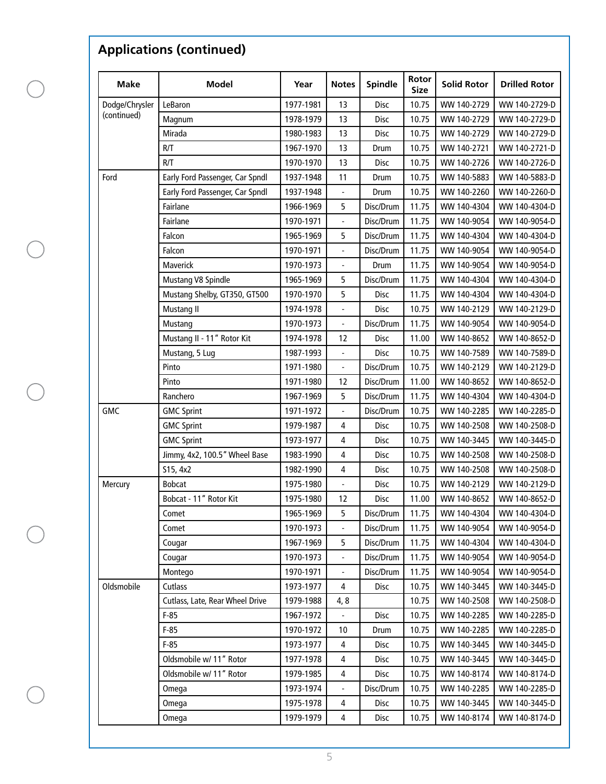| <b>Make</b>                   | <b>Model</b>                    | Year                   | <b>Notes</b>             | <b>Spindle</b> | Rotor<br>Size  | <b>Solid Rotor</b> | <b>Drilled Rotor</b> |
|-------------------------------|---------------------------------|------------------------|--------------------------|----------------|----------------|--------------------|----------------------|
| Dodge/Chrysler<br>(continued) | LeBaron                         | 1977-1981              | 13                       | Disc           | 10.75          | WW 140-2729        | WW 140-2729-D        |
|                               | Magnum                          | 1978-1979              | 13                       | <b>Disc</b>    | 10.75          | WW 140-2729        | WW 140-2729-D        |
|                               | Mirada                          | 1980-1983              | 13                       | Disc           | 10.75          | WW 140-2729        | WW 140-2729-D        |
|                               | R/T                             | 1967-1970              | 13                       | Drum           | 10.75          | WW 140-2721        | WW 140-2721-D        |
|                               | R/T                             | 1970-1970              | 13                       | Disc           | 10.75          | WW 140-2726        | WW 140-2726-D        |
| Ford                          | Early Ford Passenger, Car Spndl | 1937-1948              | 11                       | Drum           | 10.75          | WW 140-5883        | WW 140-5883-D        |
|                               | Early Ford Passenger, Car Spndl | 1937-1948              |                          | Drum           | 10.75          | WW 140-2260        | WW 140-2260-D        |
|                               | Fairlane                        | 1966-1969              | 5                        | Disc/Drum      | 11.75          | WW 140-4304        | WW 140-4304-D        |
|                               | Fairlane                        | 1970-1971              | $\Box$                   | Disc/Drum      | 11.75          | WW 140-9054        | WW 140-9054-D        |
|                               | Falcon                          | 1965-1969              | 5                        | Disc/Drum      | 11.75          | WW 140-4304        | WW 140-4304-D        |
|                               | Falcon                          | 1970-1971              | $\Box$                   | Disc/Drum      | 11.75          | WW 140-9054        | WW 140-9054-D        |
|                               | Maverick                        | 1970-1973              |                          | Drum           | 11.75          | WW 140-9054        | WW 140-9054-D        |
|                               | Mustang V8 Spindle              | 1965-1969              | 5                        | Disc/Drum      | 11.75          | WW 140-4304        | WW 140-4304-D        |
|                               | Mustang Shelby, GT350, GT500    | 1970-1970              | 5                        | Disc           | 11.75          | WW 140-4304        | WW 140-4304-D        |
|                               | Mustang II                      | 1974-1978              | $\Box$                   | Disc           | 10.75          | WW 140-2129        | WW 140-2129-D        |
|                               | Mustang                         | 1970-1973              | $\overline{a}$           | Disc/Drum      | 11.75          | WW 140-9054        | WW 140-9054-D        |
|                               | Mustang II - 11" Rotor Kit      | 1974-1978              | 12                       | <b>Disc</b>    | 11.00          | WW 140-8652        | WW 140-8652-D        |
|                               | Mustang, 5 Lug                  | 1987-1993              |                          | Disc           | 10.75          | WW 140-7589        | WW 140-7589-D        |
|                               | Pinto                           | 1971-1980              | $\overline{\phantom{a}}$ | Disc/Drum      | 10.75          | WW 140-2129        | WW 140-2129-D        |
|                               | Pinto                           | 1971-1980              | 12                       | Disc/Drum      | 11.00          | WW 140-8652        | WW 140-8652-D        |
|                               | Ranchero                        | 1967-1969              | 5                        | Disc/Drum      | 11.75          | WW 140-4304        | WW 140-4304-D        |
| <b>GMC</b>                    | <b>GMC Sprint</b>               | 1971-1972              | $\Box$                   | Disc/Drum      | 10.75          | WW 140-2285        | WW 140-2285-D        |
|                               | <b>GMC Sprint</b>               | 1979-1987              | 4                        | <b>Disc</b>    | 10.75          | WW 140-2508        | WW 140-2508-D        |
|                               | <b>GMC Sprint</b>               | 1973-1977              | 4                        | Disc           | 10.75          | WW 140-3445        | WW 140-3445-D        |
|                               | Jimmy, 4x2, 100.5" Wheel Base   | 1983-1990              | 4                        | Disc           | 10.75          | WW 140-2508        | WW 140-2508-D        |
|                               | S15, 4x2                        | 1982-1990              | 4                        | Disc           | 10.75          | WW 140-2508        | WW 140-2508-D        |
| Mercury                       | <b>Bobcat</b>                   | 1975-1980              |                          | Disc           | 10.75          | WW 140-2129        | WW 140-2129-D        |
|                               | Bobcat - 11" Rotor Kit          | 1975-1980              | 12                       | Disc           | 11.00          | WW 140-8652        | WW 140-8652-D        |
|                               | Comet                           | 1965-1969              | 5                        | Disc/Drum      | 11.75          | WW 140-4304        | WW 140-4304-D        |
|                               | Comet                           | 1970-1973              |                          | Disc/Drum      | 11.75          | WW 140-9054        | WW 140-9054-D        |
|                               | Cougar                          | 1967-1969              | 5                        | Disc/Drum      | 11.75          | WW 140-4304        | WW 140-4304-D        |
|                               | Cougar                          | 1970-1973              | $\overline{\phantom{0}}$ | Disc/Drum      | 11.75          | WW 140-9054        | WW 140-9054-D        |
|                               | Montego                         | 1970-1971              |                          | Disc/Drum      | 11.75          | WW 140-9054        | WW 140-9054-D        |
| Oldsmobile                    | Cutlass                         | 1973-1977              | 4                        | <b>Disc</b>    | 10.75          | WW 140-3445        | WW 140-3445-D        |
|                               | Cutlass, Late, Rear Wheel Drive | 1979-1988              | 4,8                      |                | 10.75          | WW 140-2508        | WW 140-2508-D        |
|                               | $F-85$                          | 1967-1972              |                          | <b>Disc</b>    | 10.75          | WW 140-2285        | WW 140-2285-D        |
|                               | $F-85$                          | 1970-1972              | 10                       | Drum           | 10.75          | WW 140-2285        | WW 140-2285-D        |
|                               | $F-85$                          | 1973-1977              | 4                        | Disc           | 10.75          | WW 140-3445        | WW 140-3445-D        |
|                               | Oldsmobile w/ 11" Rotor         |                        |                          |                |                | WW 140-3445        | WW 140-3445-D        |
|                               | Oldsmobile w/ 11" Rotor         | 1977-1978<br>1979-1985 | 4<br>4                   | Disc<br>Disc   | 10.75<br>10.75 | WW 140-8174        | WW 140-8174-D        |
|                               |                                 |                        |                          |                |                |                    |                      |
|                               | Omega                           | 1973-1974              |                          | Disc/Drum      | 10.75          | WW 140-2285        | WW 140-2285-D        |
|                               | Omega                           | 1975-1978              | 4                        | Disc           | 10.75          | WW 140-3445        | WW 140-3445-D        |
|                               | Omega                           | 1979-1979              | 4                        | Disc           | 10.75          | WW 140-8174        | WW 140-8174-D        |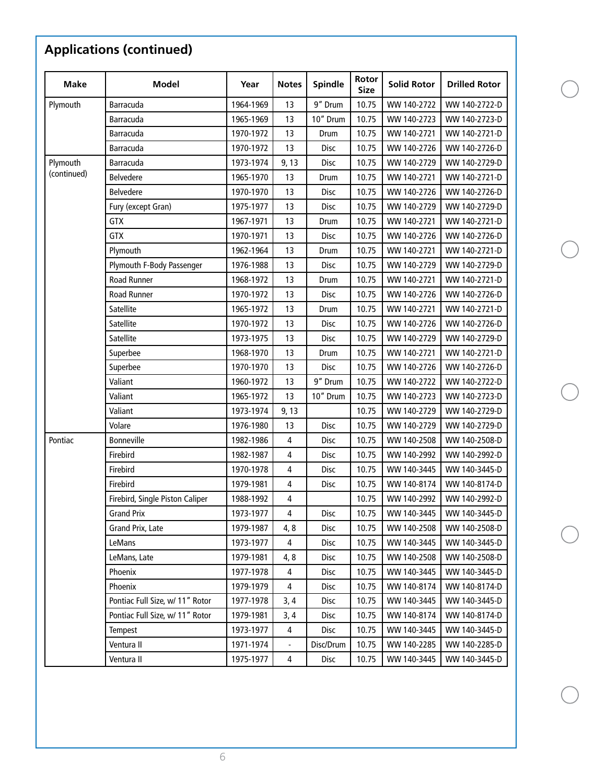| <b>Make</b> | <b>Model</b>                    | Year      | <b>Notes</b>            | <b>Spindle</b> | Rotor<br><b>Size</b> | <b>Solid Rotor</b> | <b>Drilled Rotor</b> |
|-------------|---------------------------------|-----------|-------------------------|----------------|----------------------|--------------------|----------------------|
| Plymouth    | Barracuda                       | 1964-1969 | 13                      | 9" Drum        | 10.75                | WW 140-2722        | WW 140-2722-D        |
|             | Barracuda                       | 1965-1969 | 13                      | 10" Drum       | 10.75                | WW 140-2723        | WW 140-2723-D        |
|             | Barracuda                       | 1970-1972 | 13                      | Drum           | 10.75                | WW 140-2721        | WW 140-2721-D        |
|             | Barracuda                       | 1970-1972 | 13                      | Disc           | 10.75                | WW 140-2726        | WW 140-2726-D        |
| Plymouth    | Barracuda                       | 1973-1974 | 9, 13                   | Disc           | 10.75                | WW 140-2729        | WW 140-2729-D        |
| (continued) | Belvedere                       | 1965-1970 | 13                      | Drum           | 10.75                | WW 140-2721        | WW 140-2721-D        |
|             | Belvedere                       | 1970-1970 | 13                      | Disc           | 10.75                | WW 140-2726        | WW 140-2726-D        |
|             | Fury (except Gran)              | 1975-1977 | 13                      | Disc           | 10.75                | WW 140-2729        | WW 140-2729-D        |
|             | <b>GTX</b>                      | 1967-1971 | 13                      | Drum           | 10.75                | WW 140-2721        | WW 140-2721-D        |
|             | <b>GTX</b>                      | 1970-1971 | 13                      | Disc           | 10.75                | WW 140-2726        | WW 140-2726-D        |
|             | Plymouth                        | 1962-1964 | 13                      | Drum           | 10.75                | WW 140-2721        | WW 140-2721-D        |
|             | Plymouth F-Body Passenger       | 1976-1988 | 13                      | Disc           | 10.75                | WW 140-2729        | WW 140-2729-D        |
|             | Road Runner                     | 1968-1972 | 13                      | Drum           | 10.75                | WW 140-2721        | WW 140-2721-D        |
|             | Road Runner                     | 1970-1972 | 13                      | Disc           | 10.75                | WW 140-2726        | WW 140-2726-D        |
|             | Satellite                       | 1965-1972 | 13                      | Drum           | 10.75                | WW 140-2721        | WW 140-2721-D        |
|             | Satellite                       | 1970-1972 | 13                      | Disc           | 10.75                | WW 140-2726        | WW 140-2726-D        |
|             | Satellite                       | 1973-1975 | 13                      | Disc           | 10.75                | WW 140-2729        | WW 140-2729-D        |
|             | Superbee                        | 1968-1970 | 13                      | Drum           | 10.75                | WW 140-2721        | WW 140-2721-D        |
|             | Superbee                        | 1970-1970 | 13                      | Disc           | 10.75                | WW 140-2726        | WW 140-2726-D        |
|             | Valiant                         | 1960-1972 | 13                      | 9" Drum        | 10.75                | WW 140-2722        | WW 140-2722-D        |
|             | Valiant                         | 1965-1972 | 13                      | 10" Drum       | 10.75                | WW 140-2723        | WW 140-2723-D        |
|             | Valiant                         | 1973-1974 | 9, 13                   |                | 10.75                | WW 140-2729        | WW 140-2729-D        |
|             | Volare                          | 1976-1980 | 13                      | <b>Disc</b>    | 10.75                | WW 140-2729        | WW 140-2729-D        |
| Pontiac     | Bonneville                      | 1982-1986 | 4                       | Disc           | 10.75                | WW 140-2508        | WW 140-2508-D        |
|             | Firebird                        | 1982-1987 | 4                       | Disc           | 10.75                | WW 140-2992        | WW 140-2992-D        |
|             | Firebird                        | 1970-1978 | 4                       | Disc           | 10.75                | WW 140-3445        | WW 140-3445-D        |
|             | Firebird                        | 1979-1981 | 4                       | Disc           | 10.75                | WW 140-8174        | WW 140-8174-D        |
|             | Firebird, Single Piston Caliper | 1988-1992 | $\overline{4}$          |                | 10.75                | WW 140-2992        | WW 140-2992-D        |
|             | <b>Grand Prix</b>               | 1973-1977 | $\overline{\mathbf{4}}$ | Disc           | 10.75                | WW 140-3445        | WW 140-3445-D        |
|             | Grand Prix, Late                | 1979-1987 | 4,8                     | Disc           | 10.75                | WW 140-2508        | WW 140-2508-D        |
|             | LeMans                          | 1973-1977 | 4                       | Disc           | 10.75                | WW 140-3445        | WW 140-3445-D        |
|             | LeMans, Late                    | 1979-1981 | 4, 8                    | Disc           | 10.75                | WW 140-2508        | WW 140-2508-D        |
|             | Phoenix                         | 1977-1978 | 4                       | Disc           | 10.75                | WW 140-3445        | WW 140-3445-D        |
|             | Phoenix                         | 1979-1979 | 4                       | Disc           | 10.75                | WW 140-8174        | WW 140-8174-D        |
|             | Pontiac Full Size, w/ 11" Rotor | 1977-1978 | 3,4                     | Disc           | 10.75                | WW 140-3445        | WW 140-3445-D        |
|             | Pontiac Full Size, w/ 11" Rotor | 1979-1981 | 3, 4                    | Disc           | 10.75                | WW 140-8174        | WW 140-8174-D        |
|             | <b>Tempest</b>                  | 1973-1977 | 4                       | Disc           | 10.75                | WW 140-3445        | WW 140-3445-D        |
|             | Ventura II                      | 1971-1974 |                         | Disc/Drum      | 10.75                | WW 140-2285        | WW 140-2285-D        |
|             | Ventura II                      | 1975-1977 | $\overline{\mathbf{4}}$ | Disc           | 10.75                | WW 140-3445        | WW 140-3445-D        |

6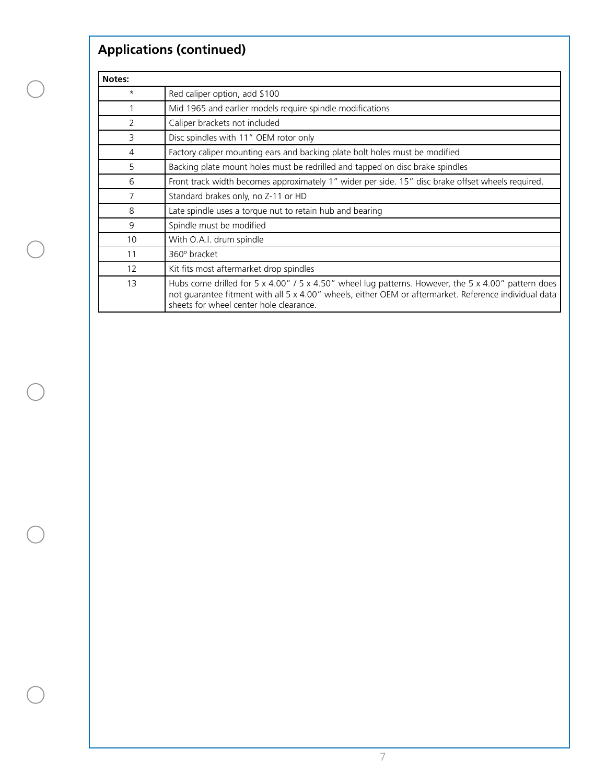| Notes:  |                                                                                                                                                                                                                                                         |
|---------|---------------------------------------------------------------------------------------------------------------------------------------------------------------------------------------------------------------------------------------------------------|
| $\star$ | Red caliper option, add \$100                                                                                                                                                                                                                           |
|         | Mid 1965 and earlier models require spindle modifications                                                                                                                                                                                               |
| 2       | Caliper brackets not included                                                                                                                                                                                                                           |
| 3       | Disc spindles with 11" OEM rotor only                                                                                                                                                                                                                   |
| 4       | Factory caliper mounting ears and backing plate bolt holes must be modified                                                                                                                                                                             |
| 5       | Backing plate mount holes must be redrilled and tapped on disc brake spindles                                                                                                                                                                           |
| 6       | Front track width becomes approximately 1" wider per side. 15" disc brake offset wheels required.                                                                                                                                                       |
| 7       | Standard brakes only, no Z-11 or HD                                                                                                                                                                                                                     |
| 8       | Late spindle uses a torque nut to retain hub and bearing                                                                                                                                                                                                |
| 9       | Spindle must be modified                                                                                                                                                                                                                                |
| 10      | With O.A.I. drum spindle                                                                                                                                                                                                                                |
| 11      | 360° bracket                                                                                                                                                                                                                                            |
| 12      | Kit fits most aftermarket drop spindles                                                                                                                                                                                                                 |
| 13      | Hubs come drilled for 5 x 4.00" / 5 x 4.50" wheel lug patterns. However, the 5 x 4.00" pattern does<br>not guarantee fitment with all 5 x 4.00" wheels, either OEM or aftermarket. Reference individual data<br>sheets for wheel center hole clearance. |